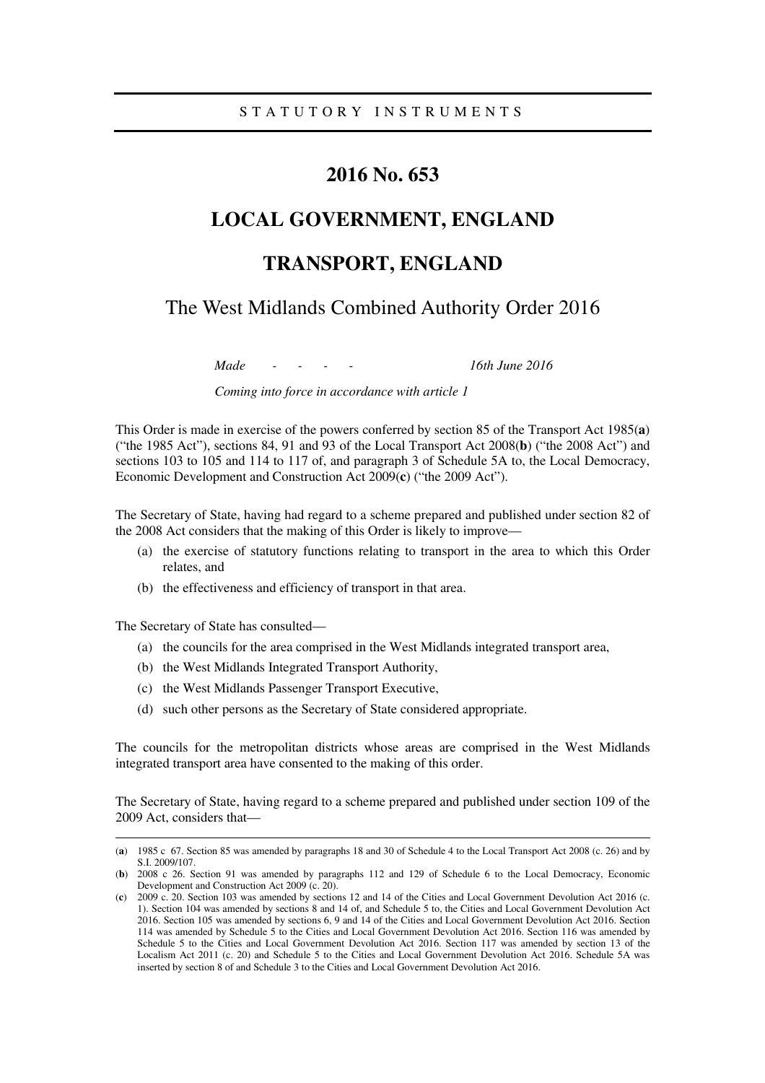# **2016 No. 653**

# **LOCAL GOVERNMENT, ENGLAND**

# **TRANSPORT, ENGLAND**

The West Midlands Combined Authority Order 2016

*Made - - - - 16th June 2016* 

*Coming into force in accordance with article 1* 

This Order is made in exercise of the powers conferred by section 85 of the Transport Act 1985(**a**) ("the 1985 Act"), sections 84, 91 and 93 of the Local Transport Act 2008(**b**) ("the 2008 Act") and sections 103 to 105 and 114 to 117 of, and paragraph 3 of Schedule 5A to, the Local Democracy, Economic Development and Construction Act 2009(**c**) ("the 2009 Act").

The Secretary of State, having had regard to a scheme prepared and published under section 82 of the 2008 Act considers that the making of this Order is likely to improve—

- (a) the exercise of statutory functions relating to transport in the area to which this Order relates, and
- (b) the effectiveness and efficiency of transport in that area.

The Secretary of State has consulted—

<u>.</u>

- (a) the councils for the area comprised in the West Midlands integrated transport area,
- (b) the West Midlands Integrated Transport Authority,
- (c) the West Midlands Passenger Transport Executive,
- (d) such other persons as the Secretary of State considered appropriate.

The councils for the metropolitan districts whose areas are comprised in the West Midlands integrated transport area have consented to the making of this order.

The Secretary of State, having regard to a scheme prepared and published under section 109 of the 2009 Act, considers that—

<sup>(</sup>**a**) 1985 c 67. Section 85 was amended by paragraphs 18 and 30 of Schedule 4 to the Local Transport Act 2008 (c. 26) and by S.I. 2009/107.

<sup>(</sup>**b**) 2008 c 26. Section 91 was amended by paragraphs 112 and 129 of Schedule 6 to the Local Democracy, Economic Development and Construction Act 2009 (c. 20).

<sup>(</sup>**c**) 2009 c. 20. Section 103 was amended by sections 12 and 14 of the Cities and Local Government Devolution Act 2016 (c. 1). Section 104 was amended by sections 8 and 14 of, and Schedule 5 to, the Cities and Local Government Devolution Act 2016. Section 105 was amended by sections 6, 9 and 14 of the Cities and Local Government Devolution Act 2016. Section 114 was amended by Schedule 5 to the Cities and Local Government Devolution Act 2016. Section 116 was amended by Schedule 5 to the Cities and Local Government Devolution Act 2016. Section 117 was amended by section 13 of the Localism Act 2011 (c. 20) and Schedule 5 to the Cities and Local Government Devolution Act 2016. Schedule 5A was inserted by section 8 of and Schedule 3 to the Cities and Local Government Devolution Act 2016.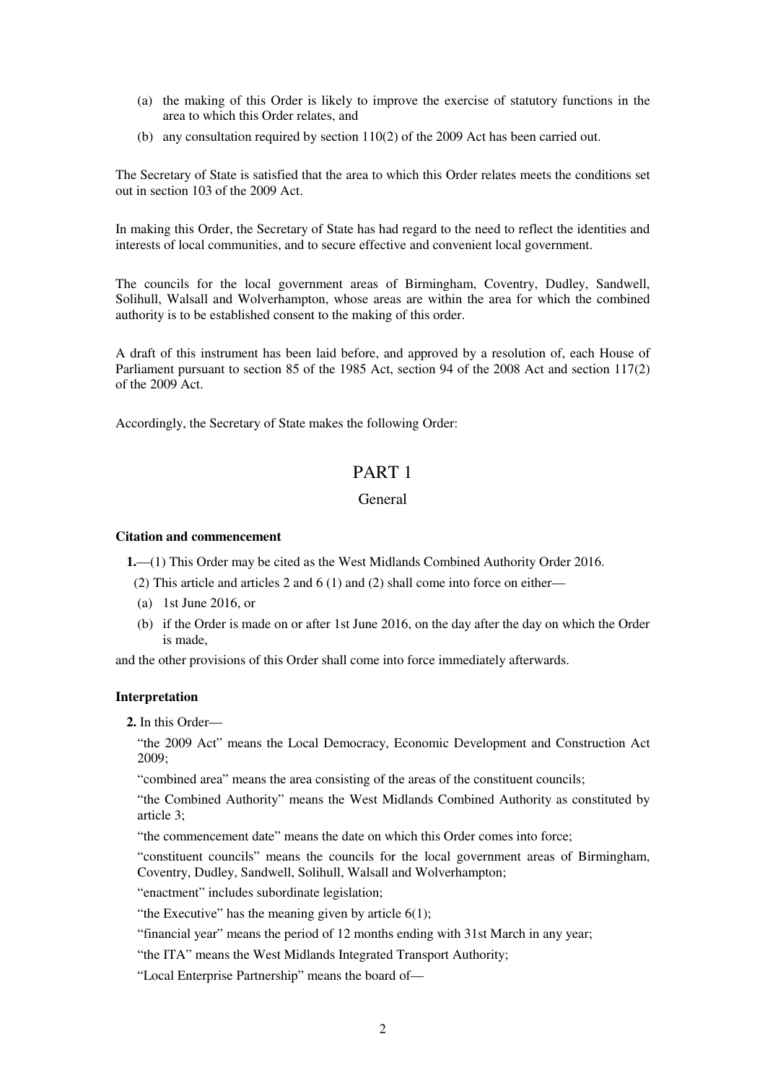- (a) the making of this Order is likely to improve the exercise of statutory functions in the area to which this Order relates, and
- (b) any consultation required by section 110(2) of the 2009 Act has been carried out.

The Secretary of State is satisfied that the area to which this Order relates meets the conditions set out in section 103 of the 2009 Act.

In making this Order, the Secretary of State has had regard to the need to reflect the identities and interests of local communities, and to secure effective and convenient local government.

The councils for the local government areas of Birmingham, Coventry, Dudley, Sandwell, Solihull, Walsall and Wolverhampton, whose areas are within the area for which the combined authority is to be established consent to the making of this order.

A draft of this instrument has been laid before, and approved by a resolution of, each House of Parliament pursuant to section 85 of the 1985 Act, section 94 of the 2008 Act and section 117(2) of the 2009 Act.

Accordingly, the Secretary of State makes the following Order:

# PART 1

## General

#### **Citation and commencement**

**1.**—(1) This Order may be cited as the West Midlands Combined Authority Order 2016.

- (2) This article and articles 2 and 6 (1) and (2) shall come into force on either—
- (a) 1st June 2016, or
- (b) if the Order is made on or after 1st June 2016, on the day after the day on which the Order is made,

and the other provisions of this Order shall come into force immediately afterwards.

#### **Interpretation**

**2.** In this Order—

"the 2009 Act" means the Local Democracy, Economic Development and Construction Act 2009;

"combined area" means the area consisting of the areas of the constituent councils;

"the Combined Authority" means the West Midlands Combined Authority as constituted by article 3;

"the commencement date" means the date on which this Order comes into force;

"constituent councils" means the councils for the local government areas of Birmingham, Coventry, Dudley, Sandwell, Solihull, Walsall and Wolverhampton;

"enactment" includes subordinate legislation;

"the Executive" has the meaning given by article  $6(1)$ ;

"financial year" means the period of 12 months ending with 31st March in any year;

"the ITA" means the West Midlands Integrated Transport Authority;

"Local Enterprise Partnership" means the board of—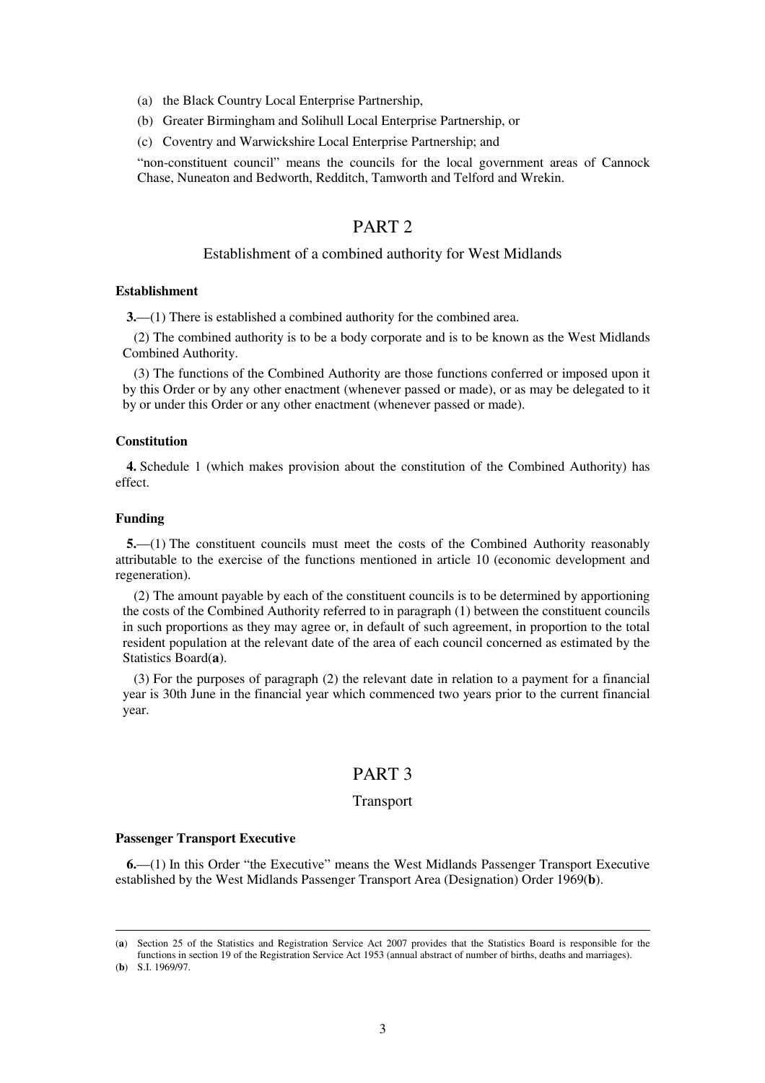- (a) the Black Country Local Enterprise Partnership,
- (b) Greater Birmingham and Solihull Local Enterprise Partnership, or
- (c) Coventry and Warwickshire Local Enterprise Partnership; and

"non-constituent council" means the councils for the local government areas of Cannock Chase, Nuneaton and Bedworth, Redditch, Tamworth and Telford and Wrekin.

## PART 2

### Establishment of a combined authority for West Midlands

#### **Establishment**

**3.**—(1) There is established a combined authority for the combined area.

(2) The combined authority is to be a body corporate and is to be known as the West Midlands Combined Authority.

(3) The functions of the Combined Authority are those functions conferred or imposed upon it by this Order or by any other enactment (whenever passed or made), or as may be delegated to it by or under this Order or any other enactment (whenever passed or made).

#### **Constitution**

**4.** Schedule 1 (which makes provision about the constitution of the Combined Authority) has effect.

#### **Funding**

<u>.</u>

**5.**—(1) The constituent councils must meet the costs of the Combined Authority reasonably attributable to the exercise of the functions mentioned in article 10 (economic development and regeneration).

(2) The amount payable by each of the constituent councils is to be determined by apportioning the costs of the Combined Authority referred to in paragraph (1) between the constituent councils in such proportions as they may agree or, in default of such agreement, in proportion to the total resident population at the relevant date of the area of each council concerned as estimated by the Statistics Board(**a**).

(3) For the purposes of paragraph (2) the relevant date in relation to a payment for a financial year is 30th June in the financial year which commenced two years prior to the current financial year.

### PART 3

#### Transport

#### **Passenger Transport Executive**

**6.**—(1) In this Order "the Executive" means the West Midlands Passenger Transport Executive established by the West Midlands Passenger Transport Area (Designation) Order 1969(**b**).

<sup>(</sup>**a**) Section 25 of the Statistics and Registration Service Act 2007 provides that the Statistics Board is responsible for the functions in section 19 of the Registration Service Act 1953 (annual abstract of number of births, deaths and marriages). (**b**) S.I. 1969/97.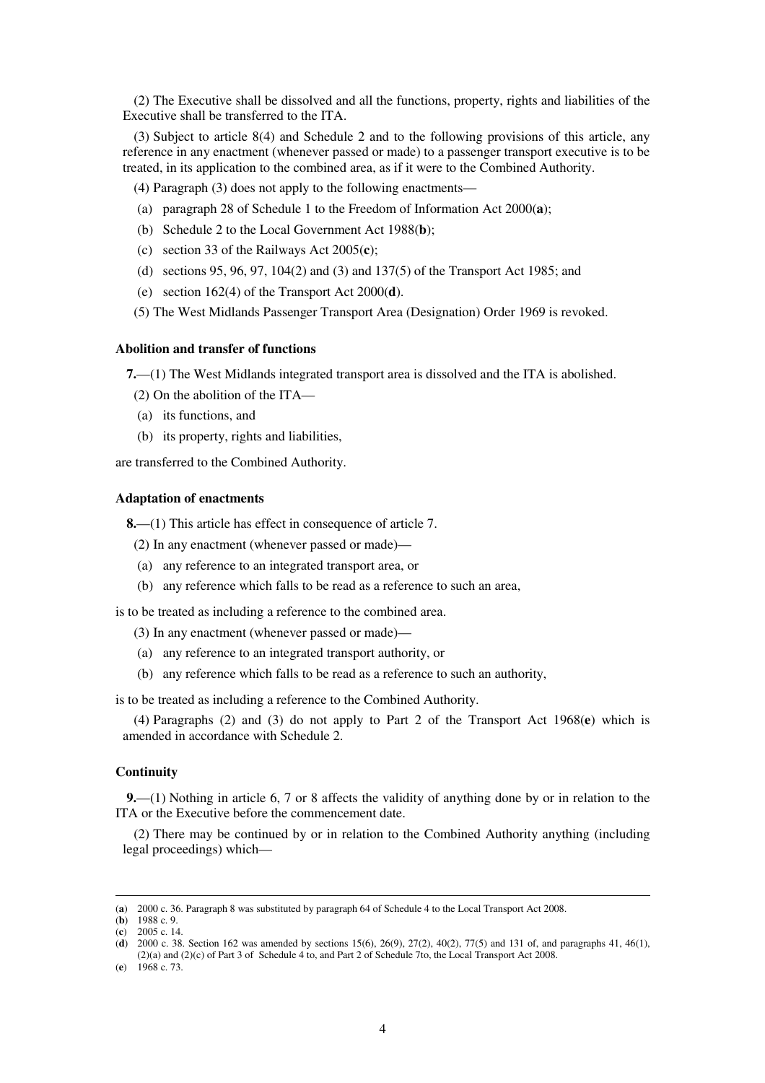(2) The Executive shall be dissolved and all the functions, property, rights and liabilities of the Executive shall be transferred to the ITA.

(3) Subject to article 8(4) and Schedule 2 and to the following provisions of this article, any reference in any enactment (whenever passed or made) to a passenger transport executive is to be treated, in its application to the combined area, as if it were to the Combined Authority.

(4) Paragraph (3) does not apply to the following enactments—

- (a) paragraph 28 of Schedule 1 to the Freedom of Information Act 2000(**a**);
- (b) Schedule 2 to the Local Government Act 1988(**b**);
- (c) section 33 of the Railways Act 2005(**c**);
- (d) sections 95, 96, 97, 104(2) and (3) and 137(5) of the Transport Act 1985; and
- (e) section 162(4) of the Transport Act 2000(**d**).
- (5) The West Midlands Passenger Transport Area (Designation) Order 1969 is revoked.

### **Abolition and transfer of functions**

**7.**—(1) The West Midlands integrated transport area is dissolved and the ITA is abolished.

- (2) On the abolition of the ITA—
- (a) its functions, and
- (b) its property, rights and liabilities,

are transferred to the Combined Authority.

#### **Adaptation of enactments**

**8.**—(1) This article has effect in consequence of article 7.

(2) In any enactment (whenever passed or made)—

- (a) any reference to an integrated transport area, or
- (b) any reference which falls to be read as a reference to such an area,

is to be treated as including a reference to the combined area.

(3) In any enactment (whenever passed or made)—

- (a) any reference to an integrated transport authority, or
- (b) any reference which falls to be read as a reference to such an authority,

is to be treated as including a reference to the Combined Authority.

(4) Paragraphs (2) and (3) do not apply to Part 2 of the Transport Act 1968(**e**) which is amended in accordance with Schedule 2.

### **Continuity**

**9.**—(1) Nothing in article 6, 7 or 8 affects the validity of anything done by or in relation to the ITA or the Executive before the commencement date.

(2) There may be continued by or in relation to the Combined Authority anything (including legal proceedings) which—

<sup>(</sup>**a**) 2000 c. 36. Paragraph 8 was substituted by paragraph 64 of Schedule 4 to the Local Transport Act 2008.

<sup>(</sup>**b**) 1988 c. 9.

<sup>(</sup>**c**) 2005 c. 14.

<sup>(</sup>**d**) 2000 c. 38. Section 162 was amended by sections 15(6), 26(9), 27(2), 40(2), 77(5) and 131 of, and paragraphs 41, 46(1), (2)(a) and (2)(c) of Part 3 of Schedule 4 to, and Part 2 of Schedule 7to, the Local Transport Act 2008.

<sup>(</sup>**e**) 1968 c. 73.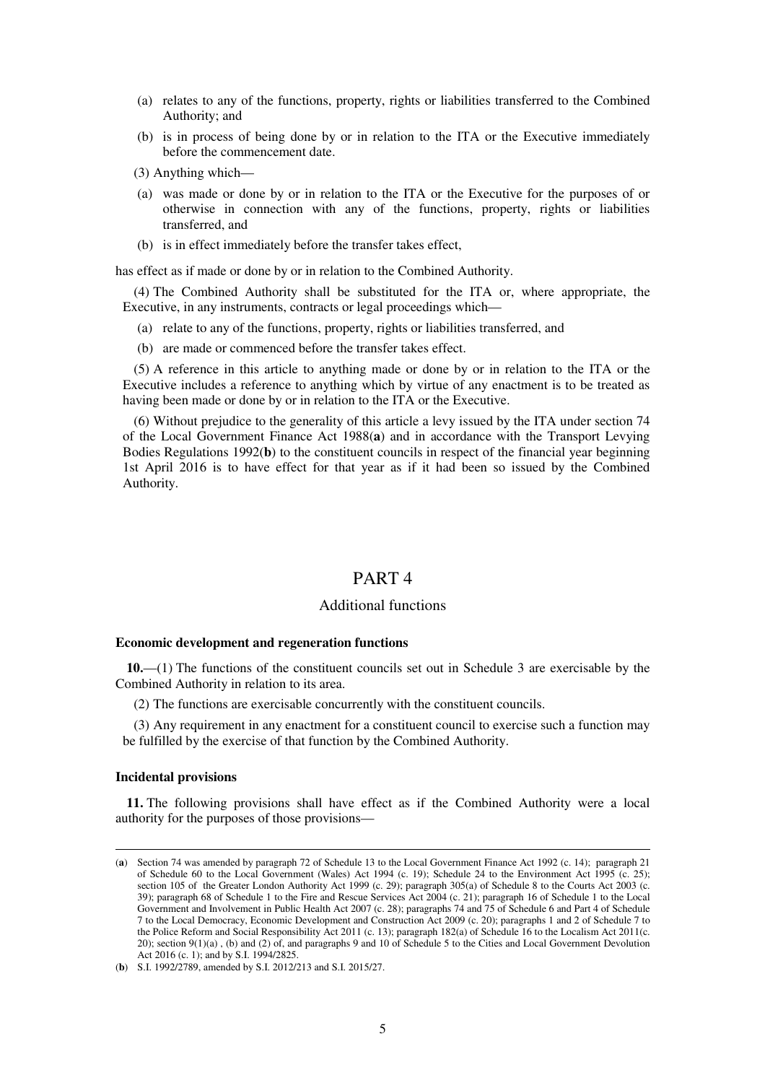- (a) relates to any of the functions, property, rights or liabilities transferred to the Combined Authority; and
- (b) is in process of being done by or in relation to the ITA or the Executive immediately before the commencement date.
- (3) Anything which—
- (a) was made or done by or in relation to the ITA or the Executive for the purposes of or otherwise in connection with any of the functions, property, rights or liabilities transferred, and
- (b) is in effect immediately before the transfer takes effect,

has effect as if made or done by or in relation to the Combined Authority.

(4) The Combined Authority shall be substituted for the ITA or, where appropriate, the Executive, in any instruments, contracts or legal proceedings which—

- (a) relate to any of the functions, property, rights or liabilities transferred, and
- (b) are made or commenced before the transfer takes effect.

(5) A reference in this article to anything made or done by or in relation to the ITA or the Executive includes a reference to anything which by virtue of any enactment is to be treated as having been made or done by or in relation to the ITA or the Executive.

(6) Without prejudice to the generality of this article a levy issued by the ITA under section 74 of the Local Government Finance Act 1988(**a**) and in accordance with the Transport Levying Bodies Regulations 1992(**b**) to the constituent councils in respect of the financial year beginning 1st April 2016 is to have effect for that year as if it had been so issued by the Combined Authority.

# PART 4

#### Additional functions

#### **Economic development and regeneration functions**

**10.**—(1) The functions of the constituent councils set out in Schedule 3 are exercisable by the Combined Authority in relation to its area.

(2) The functions are exercisable concurrently with the constituent councils.

(3) Any requirement in any enactment for a constituent council to exercise such a function may be fulfilled by the exercise of that function by the Combined Authority.

#### **Incidental provisions**

<u>.</u>

**11.** The following provisions shall have effect as if the Combined Authority were a local authority for the purposes of those provisions—

<sup>(</sup>**a**) Section 74 was amended by paragraph 72 of Schedule 13 to the Local Government Finance Act 1992 (c. 14); paragraph 21 of Schedule 60 to the Local Government (Wales) Act 1994 (c. 19); Schedule 24 to the Environment Act 1995 (c. 25); section 105 of the Greater London Authority Act 1999 (c. 29); paragraph 305(a) of Schedule 8 to the Courts Act 2003 (c. 39); paragraph 68 of Schedule 1 to the Fire and Rescue Services Act 2004 (c. 21); paragraph 16 of Schedule 1 to the Local Government and Involvement in Public Health Act 2007 (c. 28); paragraphs 74 and 75 of Schedule 6 and Part 4 of Schedule 7 to the Local Democracy, Economic Development and Construction Act 2009 (c. 20); paragraphs 1 and 2 of Schedule 7 to the Police Reform and Social Responsibility Act 2011 (c. 13); paragraph 182(a) of Schedule 16 to the Localism Act 2011(c. 20); section 9(1)(a) , (b) and (2) of, and paragraphs 9 and 10 of Schedule 5 to the Cities and Local Government Devolution Act 2016 (c. 1); and by S.I. 1994/2825.

<sup>(</sup>**b**) S.I. 1992/2789, amended by S.I. 2012/213 and S.I. 2015/27.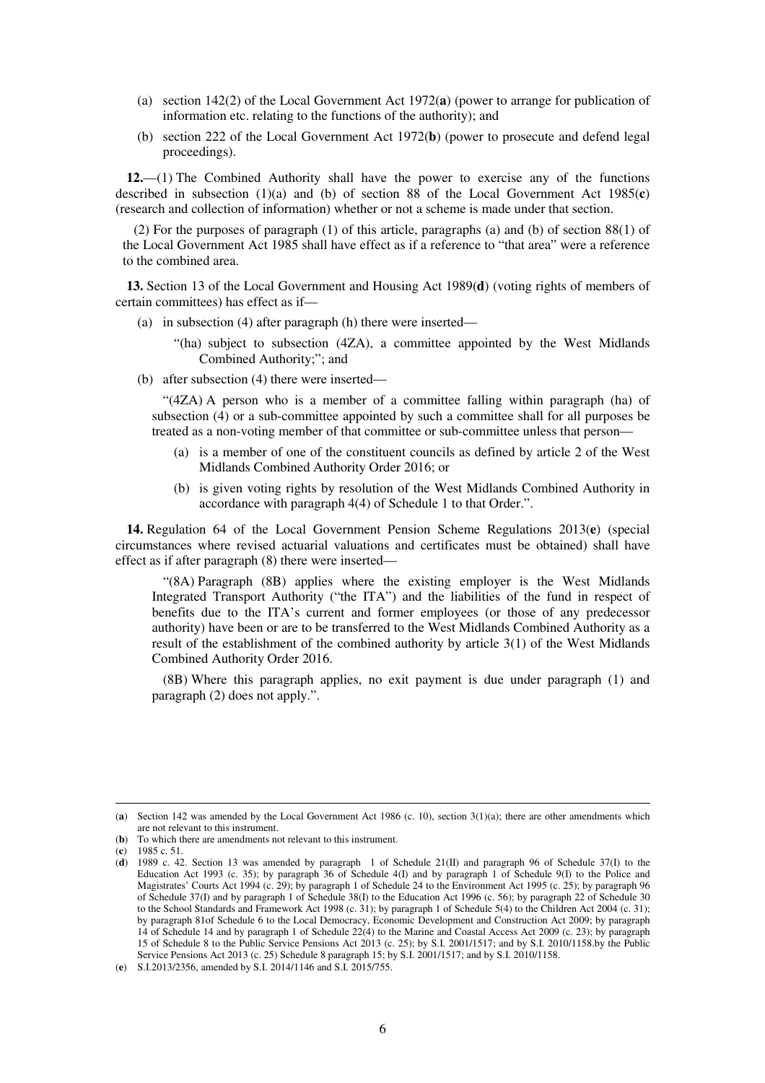- (a) section 142(2) of the Local Government Act 1972(**a**) (power to arrange for publication of information etc. relating to the functions of the authority); and
- (b) section 222 of the Local Government Act 1972(**b**) (power to prosecute and defend legal proceedings).

**12.**—(1) The Combined Authority shall have the power to exercise any of the functions described in subsection  $(1)(a)$  and  $(b)$  of section 88 of the Local Government Act 1985( $\bf{c}$ ) (research and collection of information) whether or not a scheme is made under that section.

(2) For the purposes of paragraph (1) of this article, paragraphs (a) and (b) of section 88(1) of the Local Government Act 1985 shall have effect as if a reference to "that area" were a reference to the combined area.

**13.** Section 13 of the Local Government and Housing Act 1989(**d**) (voting rights of members of certain committees) has effect as if—

- (a) in subsection (4) after paragraph (h) there were inserted—
	- "(ha) subject to subsection (4ZA), a committee appointed by the West Midlands Combined Authority;"; and
- (b) after subsection (4) there were inserted—

"(4ZA) A person who is a member of a committee falling within paragraph (ha) of subsection (4) or a sub-committee appointed by such a committee shall for all purposes be treated as a non-voting member of that committee or sub-committee unless that person—

- (a) is a member of one of the constituent councils as defined by article 2 of the West Midlands Combined Authority Order 2016; or
- (b) is given voting rights by resolution of the West Midlands Combined Authority in accordance with paragraph 4(4) of Schedule 1 to that Order.".

**14.** Regulation 64 of the Local Government Pension Scheme Regulations 2013(**e**) (special circumstances where revised actuarial valuations and certificates must be obtained) shall have effect as if after paragraph (8) there were inserted—

"(8A) Paragraph (8B) applies where the existing employer is the West Midlands Integrated Transport Authority ("the ITA") and the liabilities of the fund in respect of benefits due to the ITA's current and former employees (or those of any predecessor authority) have been or are to be transferred to the West Midlands Combined Authority as a result of the establishment of the combined authority by article 3(1) of the West Midlands Combined Authority Order 2016.

(8B) Where this paragraph applies, no exit payment is due under paragraph (1) and paragraph (2) does not apply.".

<sup>(</sup>**a**) Section 142 was amended by the Local Government Act 1986 (c. 10), section 3(1)(a); there are other amendments which are not relevant to this instrument.

<sup>(</sup>**b**) To which there are amendments not relevant to this instrument.

<sup>(</sup>**c**) 1985 c. 51.

<sup>(</sup>**d**) 1989 c. 42. Section 13 was amended by paragraph 1 of Schedule 21(II) and paragraph 96 of Schedule 37(I) to the Education Act 1993 (c. 35); by paragraph 36 of Schedule 4(I) and by paragraph 1 of Schedule 9(I) to the Police and Magistrates' Courts Act 1994 (c. 29); by paragraph 1 of Schedule 24 to the Environment Act 1995 (c. 25); by paragraph 96 of Schedule 37(I) and by paragraph 1 of Schedule 38(I) to the Education Act 1996 (c. 56); by paragraph 22 of Schedule 30 to the School Standards and Framework Act 1998 (c. 31); by paragraph 1 of Schedule 5(4) to the Children Act 2004 (c. 31); by paragraph 81of Schedule 6 to the Local Democracy, Economic Development and Construction Act 2009; by paragraph 14 of Schedule 14 and by paragraph 1 of Schedule 22(4) to the Marine and Coastal Access Act 2009 (c. 23); by paragraph 15 of Schedule 8 to the Public Service Pensions Act 2013 (c. 25); by S.I. 2001/1517; and by S.I. 2010/1158.by the Public Service Pensions Act 2013 (c. 25) Schedule 8 paragraph 15; by S.I. 2001/1517; and by S.I. 2010/1158.

<sup>(</sup>**e**) S.I.2013/2356, amended by S.I. 2014/1146 and S.I. 2015/755.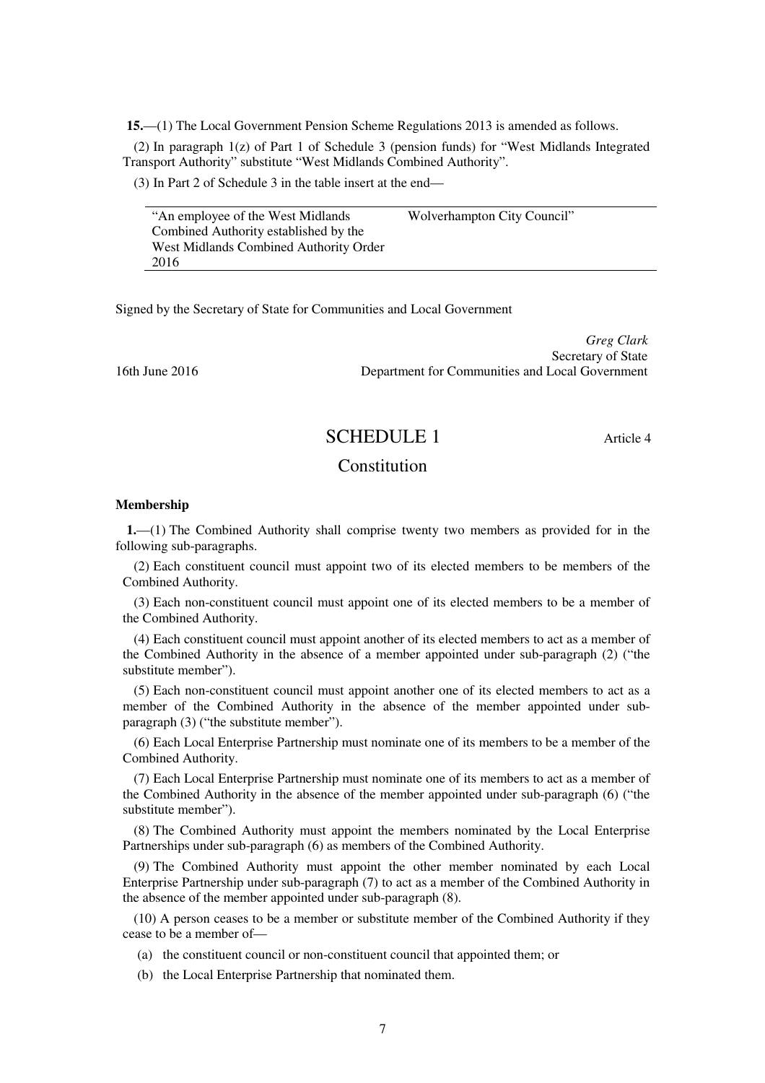**15.**—(1) The Local Government Pension Scheme Regulations 2013 is amended as follows.

(2) In paragraph 1(z) of Part 1 of Schedule 3 (pension funds) for "West Midlands Integrated Transport Authority" substitute "West Midlands Combined Authority".

(3) In Part 2 of Schedule 3 in the table insert at the end—

"An employee of the West Midlands Combined Authority established by the West Midlands Combined Authority Order 2016 Wolverhampton City Council"

Signed by the Secretary of State for Communities and Local Government

*Greg Clark* Secretary of State 16th June 2016 Department for Communities and Local Government

## SCHEDULE 1 Article 4

## **Constitution**

#### **Membership**

**1.**—(1) The Combined Authority shall comprise twenty two members as provided for in the following sub-paragraphs.

(2) Each constituent council must appoint two of its elected members to be members of the Combined Authority.

(3) Each non-constituent council must appoint one of its elected members to be a member of the Combined Authority.

(4) Each constituent council must appoint another of its elected members to act as a member of the Combined Authority in the absence of a member appointed under sub-paragraph (2) ("the substitute member").

(5) Each non-constituent council must appoint another one of its elected members to act as a member of the Combined Authority in the absence of the member appointed under subparagraph (3) ("the substitute member").

(6) Each Local Enterprise Partnership must nominate one of its members to be a member of the Combined Authority.

(7) Each Local Enterprise Partnership must nominate one of its members to act as a member of the Combined Authority in the absence of the member appointed under sub-paragraph (6) ("the substitute member").

(8) The Combined Authority must appoint the members nominated by the Local Enterprise Partnerships under sub-paragraph (6) as members of the Combined Authority.

(9) The Combined Authority must appoint the other member nominated by each Local Enterprise Partnership under sub-paragraph (7) to act as a member of the Combined Authority in the absence of the member appointed under sub-paragraph (8).

(10) A person ceases to be a member or substitute member of the Combined Authority if they cease to be a member of—

- (a) the constituent council or non-constituent council that appointed them; or
- (b) the Local Enterprise Partnership that nominated them.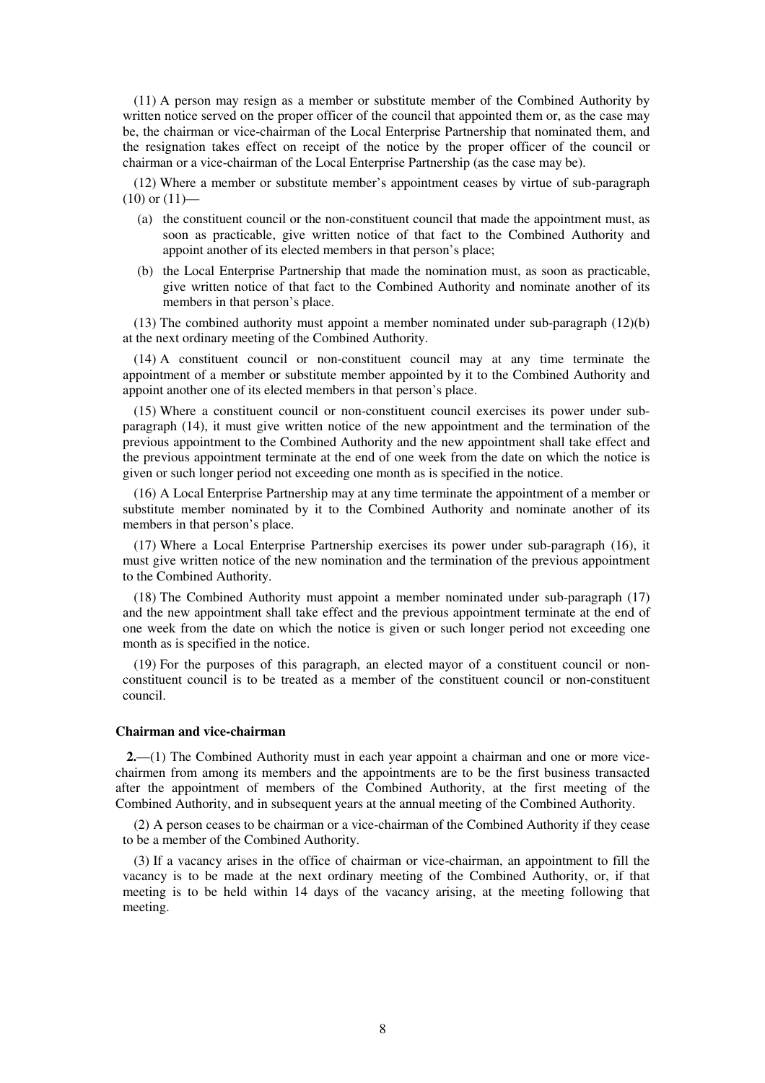(11) A person may resign as a member or substitute member of the Combined Authority by written notice served on the proper officer of the council that appointed them or, as the case may be, the chairman or vice-chairman of the Local Enterprise Partnership that nominated them, and the resignation takes effect on receipt of the notice by the proper officer of the council or chairman or a vice-chairman of the Local Enterprise Partnership (as the case may be).

(12) Where a member or substitute member's appointment ceases by virtue of sub-paragraph  $(10)$  or  $(11)$ —

- (a) the constituent council or the non-constituent council that made the appointment must, as soon as practicable, give written notice of that fact to the Combined Authority and appoint another of its elected members in that person's place;
- (b) the Local Enterprise Partnership that made the nomination must, as soon as practicable, give written notice of that fact to the Combined Authority and nominate another of its members in that person's place.

(13) The combined authority must appoint a member nominated under sub-paragraph (12)(b) at the next ordinary meeting of the Combined Authority.

(14) A constituent council or non-constituent council may at any time terminate the appointment of a member or substitute member appointed by it to the Combined Authority and appoint another one of its elected members in that person's place.

(15) Where a constituent council or non-constituent council exercises its power under subparagraph (14), it must give written notice of the new appointment and the termination of the previous appointment to the Combined Authority and the new appointment shall take effect and the previous appointment terminate at the end of one week from the date on which the notice is given or such longer period not exceeding one month as is specified in the notice.

(16) A Local Enterprise Partnership may at any time terminate the appointment of a member or substitute member nominated by it to the Combined Authority and nominate another of its members in that person's place.

(17) Where a Local Enterprise Partnership exercises its power under sub-paragraph (16), it must give written notice of the new nomination and the termination of the previous appointment to the Combined Authority.

(18) The Combined Authority must appoint a member nominated under sub-paragraph (17) and the new appointment shall take effect and the previous appointment terminate at the end of one week from the date on which the notice is given or such longer period not exceeding one month as is specified in the notice.

(19) For the purposes of this paragraph, an elected mayor of a constituent council or nonconstituent council is to be treated as a member of the constituent council or non-constituent council.

#### **Chairman and vice-chairman**

**2.**—(1) The Combined Authority must in each year appoint a chairman and one or more vicechairmen from among its members and the appointments are to be the first business transacted after the appointment of members of the Combined Authority, at the first meeting of the Combined Authority, and in subsequent years at the annual meeting of the Combined Authority.

(2) A person ceases to be chairman or a vice-chairman of the Combined Authority if they cease to be a member of the Combined Authority.

(3) If a vacancy arises in the office of chairman or vice-chairman, an appointment to fill the vacancy is to be made at the next ordinary meeting of the Combined Authority, or, if that meeting is to be held within 14 days of the vacancy arising, at the meeting following that meeting.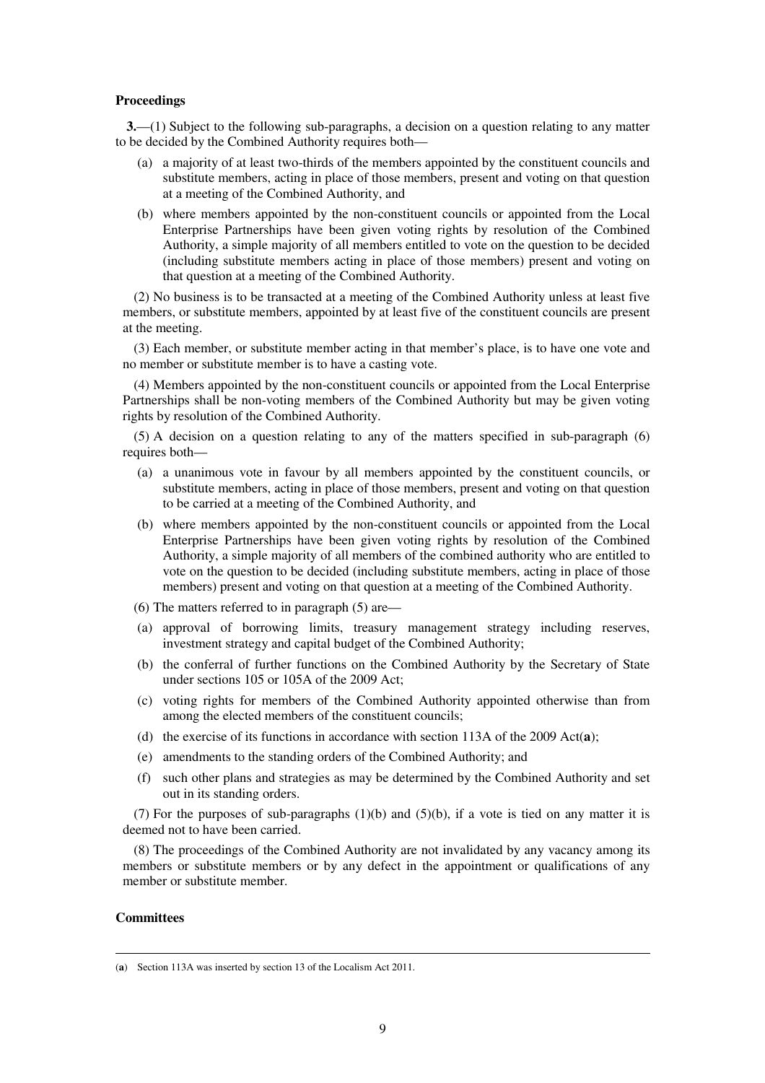#### **Proceedings**

**3.**—(1) Subject to the following sub-paragraphs, a decision on a question relating to any matter to be decided by the Combined Authority requires both—

- (a) a majority of at least two-thirds of the members appointed by the constituent councils and substitute members, acting in place of those members, present and voting on that question at a meeting of the Combined Authority, and
- (b) where members appointed by the non-constituent councils or appointed from the Local Enterprise Partnerships have been given voting rights by resolution of the Combined Authority, a simple majority of all members entitled to vote on the question to be decided (including substitute members acting in place of those members) present and voting on that question at a meeting of the Combined Authority.

(2) No business is to be transacted at a meeting of the Combined Authority unless at least five members, or substitute members, appointed by at least five of the constituent councils are present at the meeting.

(3) Each member, or substitute member acting in that member's place, is to have one vote and no member or substitute member is to have a casting vote.

(4) Members appointed by the non-constituent councils or appointed from the Local Enterprise Partnerships shall be non-voting members of the Combined Authority but may be given voting rights by resolution of the Combined Authority.

(5) A decision on a question relating to any of the matters specified in sub-paragraph (6) requires both—

- (a) a unanimous vote in favour by all members appointed by the constituent councils, or substitute members, acting in place of those members, present and voting on that question to be carried at a meeting of the Combined Authority, and
- (b) where members appointed by the non-constituent councils or appointed from the Local Enterprise Partnerships have been given voting rights by resolution of the Combined Authority, a simple majority of all members of the combined authority who are entitled to vote on the question to be decided (including substitute members, acting in place of those members) present and voting on that question at a meeting of the Combined Authority.
- (6) The matters referred to in paragraph (5) are—
- (a) approval of borrowing limits, treasury management strategy including reserves, investment strategy and capital budget of the Combined Authority;
- (b) the conferral of further functions on the Combined Authority by the Secretary of State under sections 105 or 105A of the 2009 Act;
- (c) voting rights for members of the Combined Authority appointed otherwise than from among the elected members of the constituent councils;
- (d) the exercise of its functions in accordance with section 113A of the 2009 Act(**a**);
- (e) amendments to the standing orders of the Combined Authority; and
- (f) such other plans and strategies as may be determined by the Combined Authority and set out in its standing orders.

(7) For the purposes of sub-paragraphs (1)(b) and (5)(b), if a vote is tied on any matter it is deemed not to have been carried.

(8) The proceedings of the Combined Authority are not invalidated by any vacancy among its members or substitute members or by any defect in the appointment or qualifications of any member or substitute member.

#### **Committees**

<sup>(</sup>**a**) Section 113A was inserted by section 13 of the Localism Act 2011.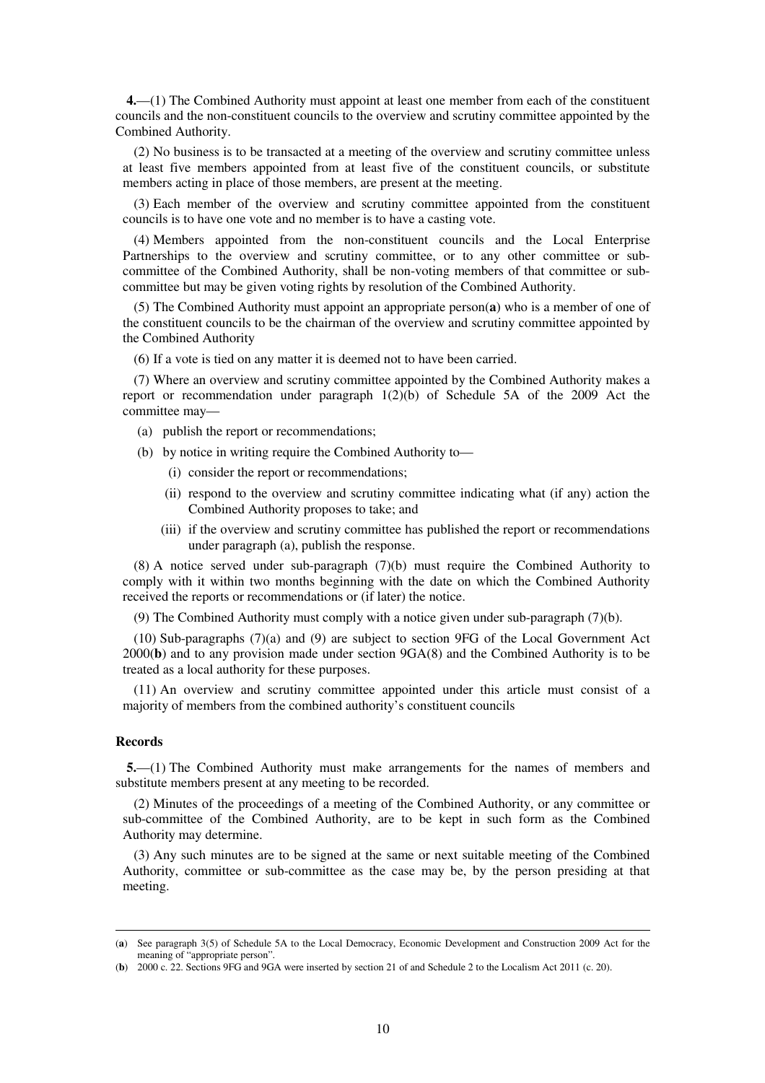**4.**—(1) The Combined Authority must appoint at least one member from each of the constituent councils and the non-constituent councils to the overview and scrutiny committee appointed by the Combined Authority.

(2) No business is to be transacted at a meeting of the overview and scrutiny committee unless at least five members appointed from at least five of the constituent councils, or substitute members acting in place of those members, are present at the meeting.

(3) Each member of the overview and scrutiny committee appointed from the constituent councils is to have one vote and no member is to have a casting vote.

(4) Members appointed from the non-constituent councils and the Local Enterprise Partnerships to the overview and scrutiny committee, or to any other committee or subcommittee of the Combined Authority, shall be non-voting members of that committee or subcommittee but may be given voting rights by resolution of the Combined Authority.

(5) The Combined Authority must appoint an appropriate person(**a**) who is a member of one of the constituent councils to be the chairman of the overview and scrutiny committee appointed by the Combined Authority

(6) If a vote is tied on any matter it is deemed not to have been carried.

(7) Where an overview and scrutiny committee appointed by the Combined Authority makes a report or recommendation under paragraph 1(2)(b) of Schedule 5A of the 2009 Act the committee may—

- (a) publish the report or recommendations;
- (b) by notice in writing require the Combined Authority to—
	- (i) consider the report or recommendations;
	- (ii) respond to the overview and scrutiny committee indicating what (if any) action the Combined Authority proposes to take; and
	- (iii) if the overview and scrutiny committee has published the report or recommendations under paragraph (a), publish the response.

(8) A notice served under sub-paragraph (7)(b) must require the Combined Authority to comply with it within two months beginning with the date on which the Combined Authority received the reports or recommendations or (if later) the notice.

(9) The Combined Authority must comply with a notice given under sub-paragraph (7)(b).

(10) Sub-paragraphs (7)(a) and (9) are subject to section 9FG of the Local Government Act 2000(**b**) and to any provision made under section 9GA(8) and the Combined Authority is to be treated as a local authority for these purposes.

(11) An overview and scrutiny committee appointed under this article must consist of a majority of members from the combined authority's constituent councils

#### **Records**

<u>.</u>

**5.**—(1) The Combined Authority must make arrangements for the names of members and substitute members present at any meeting to be recorded.

(2) Minutes of the proceedings of a meeting of the Combined Authority, or any committee or sub-committee of the Combined Authority, are to be kept in such form as the Combined Authority may determine.

(3) Any such minutes are to be signed at the same or next suitable meeting of the Combined Authority, committee or sub-committee as the case may be, by the person presiding at that meeting.

<sup>(</sup>**a**) See paragraph 3(5) of Schedule 5A to the Local Democracy, Economic Development and Construction 2009 Act for the meaning of "appropriate person".

<sup>(</sup>**b**) 2000 c. 22. Sections 9FG and 9GA were inserted by section 21 of and Schedule 2 to the Localism Act 2011 (c. 20).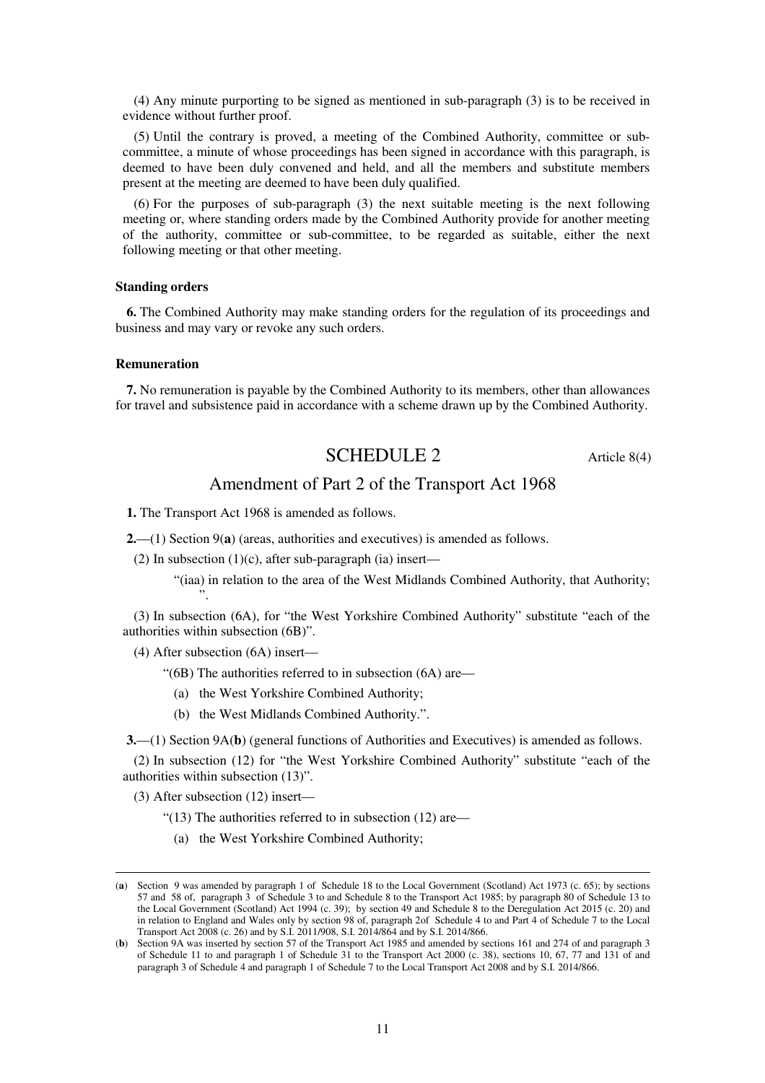(4) Any minute purporting to be signed as mentioned in sub-paragraph (3) is to be received in evidence without further proof.

(5) Until the contrary is proved, a meeting of the Combined Authority, committee or subcommittee, a minute of whose proceedings has been signed in accordance with this paragraph, is deemed to have been duly convened and held, and all the members and substitute members present at the meeting are deemed to have been duly qualified.

(6) For the purposes of sub-paragraph (3) the next suitable meeting is the next following meeting or, where standing orders made by the Combined Authority provide for another meeting of the authority, committee or sub-committee, to be regarded as suitable, either the next following meeting or that other meeting.

#### **Standing orders**

**6.** The Combined Authority may make standing orders for the regulation of its proceedings and business and may vary or revoke any such orders.

#### **Remuneration**

**7.** No remuneration is payable by the Combined Authority to its members, other than allowances for travel and subsistence paid in accordance with a scheme drawn up by the Combined Authority.

# SCHEDULE 2 Article 8(4)

## Amendment of Part 2 of the Transport Act 1968

**1.** The Transport Act 1968 is amended as follows.

**2.**—(1) Section 9(**a**) (areas, authorities and executives) is amended as follows.

(2) In subsection  $(1)(c)$ , after sub-paragraph (ia) insert—

"(iaa) in relation to the area of the West Midlands Combined Authority, that Authority; ".

(3) In subsection (6A), for "the West Yorkshire Combined Authority" substitute "each of the authorities within subsection (6B)".

(4) After subsection (6A) insert—

- "(6B) The authorities referred to in subsection (6A) are—
	- (a) the West Yorkshire Combined Authority;
	- (b) the West Midlands Combined Authority.".

**3.**—(1) Section 9A(**b**) (general functions of Authorities and Executives) is amended as follows.

(2) In subsection (12) for "the West Yorkshire Combined Authority" substitute "each of the authorities within subsection (13)".

(3) After subsection (12) insert—

<u>.</u>

" $(13)$  The authorities referred to in subsection  $(12)$  are—

(a) the West Yorkshire Combined Authority;

<sup>(</sup>**a**) Section 9 was amended by paragraph 1 of Schedule 18 to the Local Government (Scotland) Act 1973 (c. 65); by sections 57 and 58 of, paragraph 3 of Schedule 3 to and Schedule 8 to the Transport Act 1985; by paragraph 80 of Schedule 13 to the Local Government (Scotland) Act 1994 (c. 39); by section 49 and Schedule 8 to the Deregulation Act 2015 (c. 20) and in relation to England and Wales only by section 98 of, paragraph 2of Schedule 4 to and Part 4 of Schedule 7 to the Local Transport Act 2008 (c. 26) and by S.I. 2011/908, S.I. 2014/864 and by S.I. 2014/866.

<sup>(</sup>**b**) Section 9A was inserted by section 57 of the Transport Act 1985 and amended by sections 161 and 274 of and paragraph 3 of Schedule 11 to and paragraph 1 of Schedule 31 to the Transport Act 2000 (c. 38), sections 10, 67, 77 and 131 of and paragraph 3 of Schedule 4 and paragraph 1 of Schedule 7 to the Local Transport Act 2008 and by S.I. 2014/866.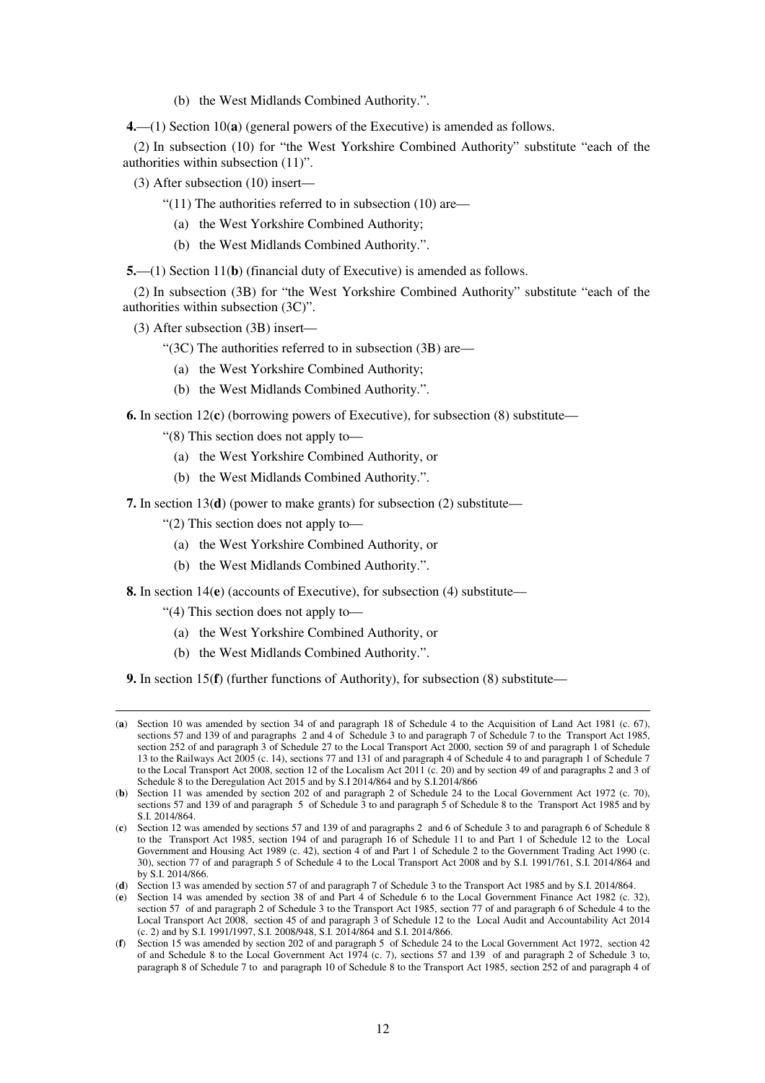(b) the West Midlands Combined Authority.".

**4.**—(1) Section 10(**a**) (general powers of the Executive) is amended as follows.

(2) In subsection (10) for "the West Yorkshire Combined Authority" substitute "each of the authorities within subsection (11)".

(3) After subsection (10) insert—

- "(11) The authorities referred to in subsection (10) are—
	- (a) the West Yorkshire Combined Authority;
	- (b) the West Midlands Combined Authority.".

**5.**—(1) Section 11(**b**) (financial duty of Executive) is amended as follows.

(2) In subsection (3B) for "the West Yorkshire Combined Authority" substitute "each of the authorities within subsection (3C)".

(3) After subsection (3B) insert—

"(3C) The authorities referred to in subsection (3B) are—

- (a) the West Yorkshire Combined Authority;
- (b) the West Midlands Combined Authority.".

**6.** In section 12(**c**) (borrowing powers of Executive), for subsection (8) substitute—

"(8) This section does not apply to—

- (a) the West Yorkshire Combined Authority, or
- (b) the West Midlands Combined Authority.".

**7.** In section 13(**d**) (power to make grants) for subsection (2) substitute—

"(2) This section does not apply to—

- (a) the West Yorkshire Combined Authority, or
- (b) the West Midlands Combined Authority.".

**8.** In section 14(**e**) (accounts of Executive), for subsection (4) substitute—

"(4) This section does not apply to—

<u>.</u>

- (a) the West Yorkshire Combined Authority, or
- (b) the West Midlands Combined Authority.".

**9.** In section 15(**f**) (further functions of Authority), for subsection (8) substitute—

<sup>(</sup>**a**) Section 10 was amended by section 34 of and paragraph 18 of Schedule 4 to the Acquisition of Land Act 1981 (c. 67), sections 57 and 139 of and paragraphs 2 and 4 of Schedule 3 to and paragraph 7 of Schedule 7 to the Transport Act 1985, section 252 of and paragraph 3 of Schedule 27 to the Local Transport Act 2000, section 59 of and paragraph 1 of Schedule 13 to the Railways Act 2005 (c. 14), sections 77 and 131 of and paragraph 4 of Schedule 4 to and paragraph 1 of Schedule 7 to the Local Transport Act 2008, section 12 of the Localism Act 2011 (c. 20) and by section 49 of and paragraphs 2 and 3 of Schedule 8 to the Deregulation Act 2015 and by S.I 2014/864 and by S.I.2014/866

<sup>(</sup>**b**) Section 11 was amended by section 202 of and paragraph 2 of Schedule 24 to the Local Government Act 1972 (c. 70), sections 57 and 139 of and paragraph 5 of Schedule 3 to and paragraph 5 of Schedule 8 to the Transport Act 1985 and by S.I. 2014/864.

<sup>(</sup>**c**) Section 12 was amended by sections 57 and 139 of and paragraphs 2 and 6 of Schedule 3 to and paragraph 6 of Schedule 8 to the Transport Act 1985, section 194 of and paragraph 16 of Schedule 11 to and Part 1 of Schedule 12 to the Local Government and Housing Act 1989 (c. 42), section 4 of and Part 1 of Schedule 2 to the Government Trading Act 1990 (c. 30), section 77 of and paragraph 5 of Schedule 4 to the Local Transport Act 2008 and by S.I. 1991/761, S.I. 2014/864 and by S.I. 2014/866.

<sup>(</sup>**d**) Section 13 was amended by section 57 of and paragraph 7 of Schedule 3 to the Transport Act 1985 and by S.I. 2014/864.

<sup>(</sup>**e**) Section 14 was amended by section 38 of and Part 4 of Schedule 6 to the Local Government Finance Act 1982 (c. 32), section 57 of and paragraph 2 of Schedule 3 to the Transport Act 1985, section 77 of and paragraph 6 of Schedule 4 to the Local Transport Act 2008, section 45 of and paragraph 3 of Schedule 12 to the Local Audit and Accountability Act 2014 (c. 2) and by S.I. 1991/1997, S.I. 2008/948, S.I. 2014/864 and S.I. 2014/866.

<sup>(</sup>**f**) Section 15 was amended by section 202 of and paragraph 5 of Schedule 24 to the Local Government Act 1972, section 42 of and Schedule 8 to the Local Government Act 1974 (c. 7), sections 57 and 139 of and paragraph 2 of Schedule 3 to, paragraph 8 of Schedule 7 to and paragraph 10 of Schedule 8 to the Transport Act 1985, section 252 of and paragraph 4 of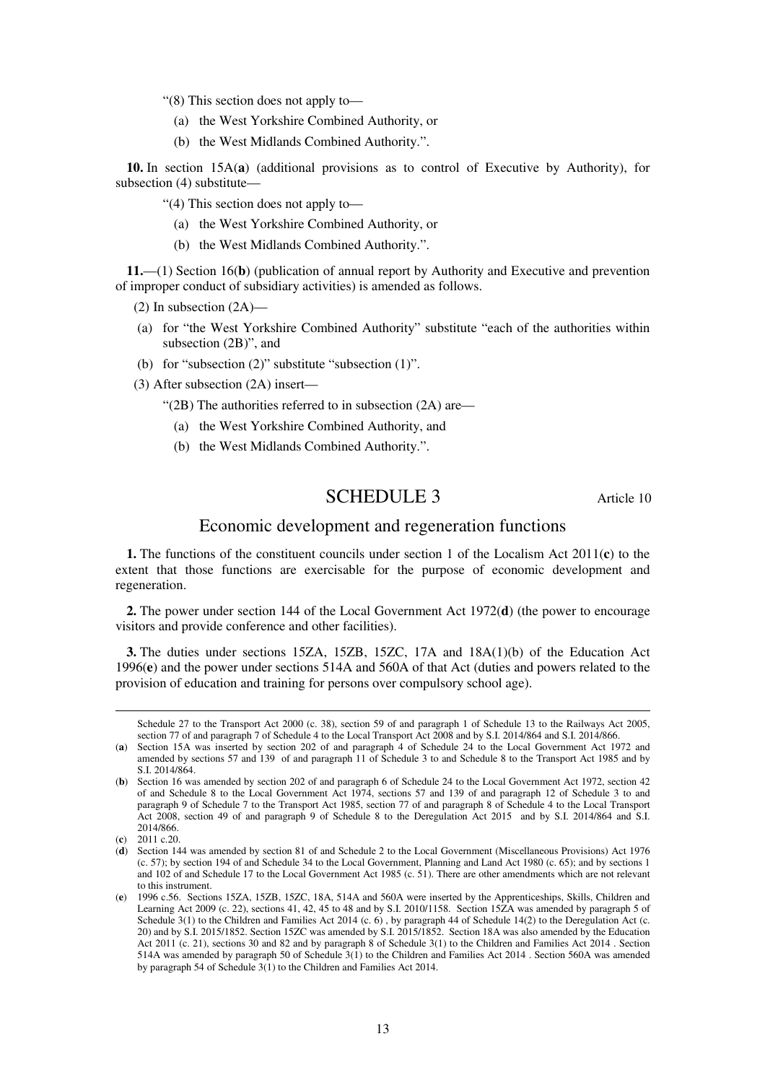"(8) This section does not apply to—

- (a) the West Yorkshire Combined Authority, or
- (b) the West Midlands Combined Authority.".

**10.** In section 15A(**a**) (additional provisions as to control of Executive by Authority), for subsection (4) substitute—

"(4) This section does not apply to—

- (a) the West Yorkshire Combined Authority, or
- (b) the West Midlands Combined Authority.".

**11.**—(1) Section 16(**b**) (publication of annual report by Authority and Executive and prevention of improper conduct of subsidiary activities) is amended as follows.

(2) In subsection (2A)—

- (a) for "the West Yorkshire Combined Authority" substitute "each of the authorities within subsection (2B)", and
- (b) for "subsection (2)" substitute "subsection (1)".
- (3) After subsection (2A) insert—
	- "(2B) The authorities referred to in subsection (2A) are—
	- (a) the West Yorkshire Combined Authority, and
	- (b) the West Midlands Combined Authority.".

## SCHEDULE 3 Article 10

## Economic development and regeneration functions

**1.** The functions of the constituent councils under section 1 of the Localism Act 2011(**c**) to the extent that those functions are exercisable for the purpose of economic development and regeneration.

**2.** The power under section 144 of the Local Government Act 1972(**d**) (the power to encourage visitors and provide conference and other facilities).

**3.** The duties under sections 15ZA, 15ZB, 15ZC, 17A and 18A(1)(b) of the Education Act 1996(**e**) and the power under sections 514A and 560A of that Act (duties and powers related to the provision of education and training for persons over compulsory school age).

Schedule 27 to the Transport Act 2000 (c. 38), section 59 of and paragraph 1 of Schedule 13 to the Railways Act 2005, section 77 of and paragraph 7 of Schedule 4 to the Local Transport Act 2008 and by S.I. 2014/864 and S.I. 2014/866.

<sup>(</sup>**a**) Section 15A was inserted by section 202 of and paragraph 4 of Schedule 24 to the Local Government Act 1972 and amended by sections 57 and 139 of and paragraph 11 of Schedule 3 to and Schedule 8 to the Transport Act 1985 and by S.I. 2014/864.

<sup>(</sup>**b**) Section 16 was amended by section 202 of and paragraph 6 of Schedule 24 to the Local Government Act 1972, section 42 of and Schedule 8 to the Local Government Act 1974, sections 57 and 139 of and paragraph 12 of Schedule 3 to and paragraph 9 of Schedule 7 to the Transport Act 1985, section 77 of and paragraph 8 of Schedule 4 to the Local Transport Act 2008, section 49 of and paragraph 9 of Schedule 8 to the Deregulation Act 2015 and by S.I. 2014/864 and S.I. 2014/866.

<sup>(</sup>**c**) 2011 c.20.

<sup>(</sup>**d**) Section 144 was amended by section 81 of and Schedule 2 to the Local Government (Miscellaneous Provisions) Act 1976 (c. 57); by section 194 of and Schedule 34 to the Local Government, Planning and Land Act 1980 (c. 65); and by sections 1 and 102 of and Schedule 17 to the Local Government Act 1985 (c. 51). There are other amendments which are not relevant to this instrument.

<sup>(</sup>**e**) 1996 c.56. Sections 15ZA, 15ZB, 15ZC, 18A, 514A and 560A were inserted by the Apprenticeships, Skills, Children and Learning Act 2009 (c. 22), sections 41, 42, 45 to 48 and by S.I. 2010/1158. Section 15ZA was amended by paragraph 5 of Schedule 3(1) to the Children and Families Act 2014 (c. 6) , by paragraph 44 of Schedule 14(2) to the Deregulation Act (c. 20) and by S.I. 2015/1852. Section 15ZC was amended by S.I. 2015/1852. Section 18A was also amended by the Education Act 2011 (c. 21), sections 30 and 82 and by paragraph 8 of Schedule 3(1) to the Children and Families Act 2014 . Section 514A was amended by paragraph 50 of Schedule 3(1) to the Children and Families Act 2014 . Section 560A was amended by paragraph 54 of Schedule 3(1) to the Children and Families Act 2014.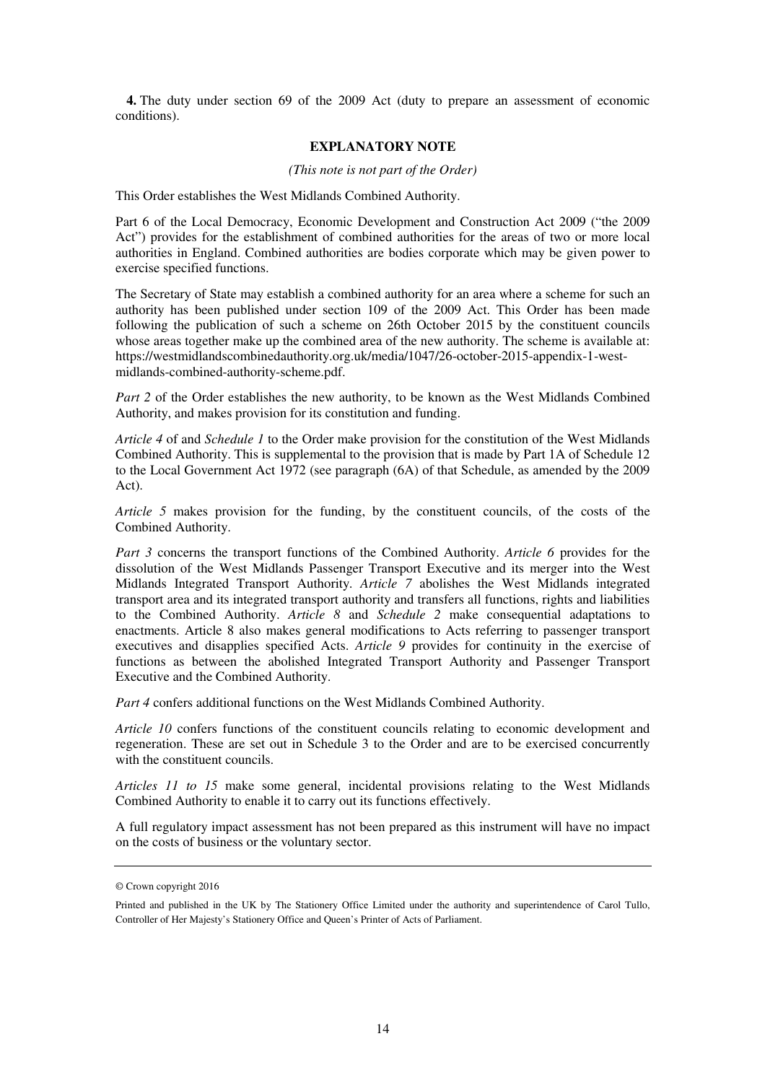**4.** The duty under section 69 of the 2009 Act (duty to prepare an assessment of economic conditions).

#### **EXPLANATORY NOTE**

#### *(This note is not part of the Order)*

This Order establishes the West Midlands Combined Authority.

Part 6 of the Local Democracy, Economic Development and Construction Act 2009 ("the 2009 Act") provides for the establishment of combined authorities for the areas of two or more local authorities in England. Combined authorities are bodies corporate which may be given power to exercise specified functions.

The Secretary of State may establish a combined authority for an area where a scheme for such an authority has been published under section 109 of the 2009 Act. This Order has been made following the publication of such a scheme on 26th October 2015 by the constituent councils whose areas together make up the combined area of the new authority. The scheme is available at: https://westmidlandscombinedauthority.org.uk/media/1047/26-october-2015-appendix-1-westmidlands-combined-authority-scheme.pdf.

*Part 2* of the Order establishes the new authority, to be known as the West Midlands Combined Authority, and makes provision for its constitution and funding.

*Article 4* of and *Schedule 1* to the Order make provision for the constitution of the West Midlands Combined Authority. This is supplemental to the provision that is made by Part 1A of Schedule 12 to the Local Government Act 1972 (see paragraph (6A) of that Schedule, as amended by the 2009 Act).

*Article 5* makes provision for the funding, by the constituent councils, of the costs of the Combined Authority.

*Part 3* concerns the transport functions of the Combined Authority. *Article 6* provides for the dissolution of the West Midlands Passenger Transport Executive and its merger into the West Midlands Integrated Transport Authority. *Article 7* abolishes the West Midlands integrated transport area and its integrated transport authority and transfers all functions, rights and liabilities to the Combined Authority. *Article 8* and *Schedule 2* make consequential adaptations to enactments. Article 8 also makes general modifications to Acts referring to passenger transport executives and disapplies specified Acts. *Article 9* provides for continuity in the exercise of functions as between the abolished Integrated Transport Authority and Passenger Transport Executive and the Combined Authority.

*Part 4* confers additional functions on the West Midlands Combined Authority.

*Article 10* confers functions of the constituent councils relating to economic development and regeneration. These are set out in Schedule 3 to the Order and are to be exercised concurrently with the constituent councils.

*Articles 11 to 15* make some general, incidental provisions relating to the West Midlands Combined Authority to enable it to carry out its functions effectively.

A full regulatory impact assessment has not been prepared as this instrument will have no impact on the costs of business or the voluntary sector.

<sup>©</sup> Crown copyright 2016

Printed and published in the UK by The Stationery Office Limited under the authority and superintendence of Carol Tullo, Controller of Her Majesty's Stationery Office and Queen's Printer of Acts of Parliament.